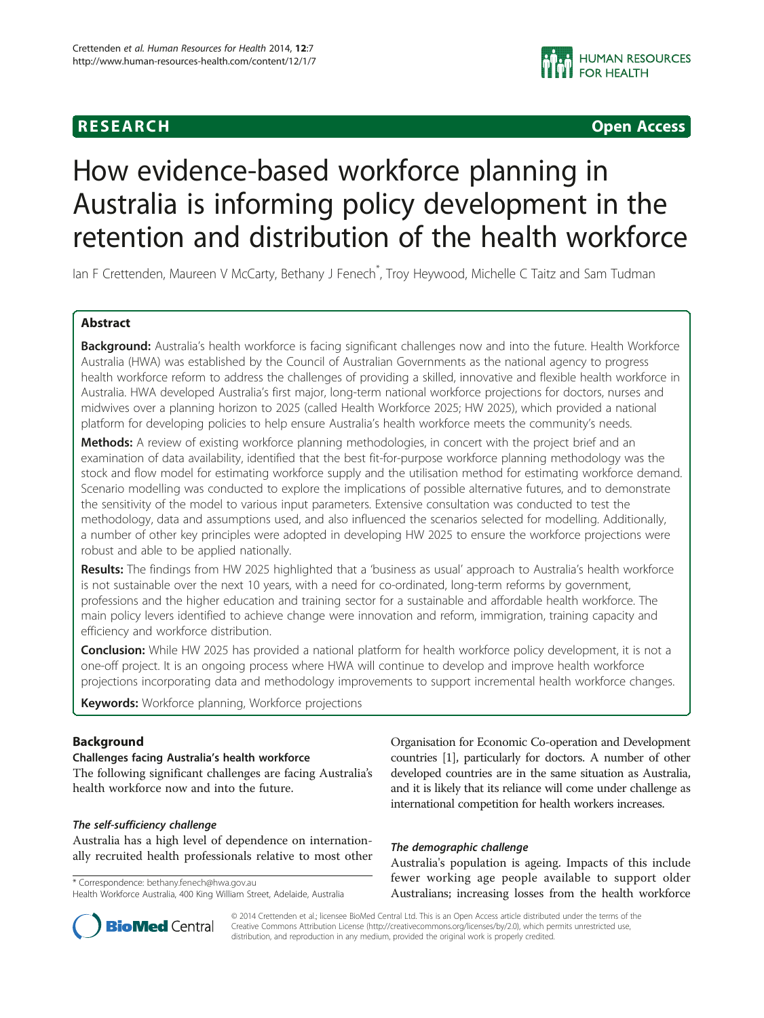**RESEARCH CHINESEARCH CHINESEARCH** 

# How evidence-based workforce planning in Australia is informing policy development in the retention and distribution of the health workforce

lan F Crettenden, Maureen V McCarty, Bethany J Fenech<sup>\*</sup>, Troy Heywood, Michelle C Taitz and Sam Tudman

# Abstract

Background: Australia's health workforce is facing significant challenges now and into the future. Health Workforce Australia (HWA) was established by the Council of Australian Governments as the national agency to progress health workforce reform to address the challenges of providing a skilled, innovative and flexible health workforce in Australia. HWA developed Australia's first major, long-term national workforce projections for doctors, nurses and midwives over a planning horizon to 2025 (called Health Workforce 2025; HW 2025), which provided a national platform for developing policies to help ensure Australia's health workforce meets the community's needs.

Methods: A review of existing workforce planning methodologies, in concert with the project brief and an examination of data availability, identified that the best fit-for-purpose workforce planning methodology was the stock and flow model for estimating workforce supply and the utilisation method for estimating workforce demand. Scenario modelling was conducted to explore the implications of possible alternative futures, and to demonstrate the sensitivity of the model to various input parameters. Extensive consultation was conducted to test the methodology, data and assumptions used, and also influenced the scenarios selected for modelling. Additionally, a number of other key principles were adopted in developing HW 2025 to ensure the workforce projections were robust and able to be applied nationally.

Results: The findings from HW 2025 highlighted that a 'business as usual' approach to Australia's health workforce is not sustainable over the next 10 years, with a need for co-ordinated, long-term reforms by government, professions and the higher education and training sector for a sustainable and affordable health workforce. The main policy levers identified to achieve change were innovation and reform, immigration, training capacity and efficiency and workforce distribution.

**Conclusion:** While HW 2025 has provided a national platform for health workforce policy development, it is not a one-off project. It is an ongoing process where HWA will continue to develop and improve health workforce projections incorporating data and methodology improvements to support incremental health workforce changes.

Keywords: Workforce planning, Workforce projections

# Background

# Challenges facing Australia's health workforce

The following significant challenges are facing Australia's health workforce now and into the future.

# The self-sufficiency challenge

Australia has a high level of dependence on internationally recruited health professionals relative to most other

\* Correspondence: [bethany.fenech@hwa.gov.au](mailto:bethany.fenech@hwa.gov.au) Health Workforce Australia, 400 King William Street, Adelaide, Australia Organisation for Economic Co-operation and Development countries [\[1\]](#page-12-0), particularly for doctors. A number of other developed countries are in the same situation as Australia, and it is likely that its reliance will come under challenge as international competition for health workers increases.

# The demographic challenge

Australia's population is ageing. Impacts of this include fewer working age people available to support older Australians; increasing losses from the health workforce



© 2014 Crettenden et al.; licensee BioMed Central Ltd. This is an Open Access article distributed under the terms of the Creative Commons Attribution License (<http://creativecommons.org/licenses/by/2.0>), which permits unrestricted use, distribution, and reproduction in any medium, provided the original work is properly credited.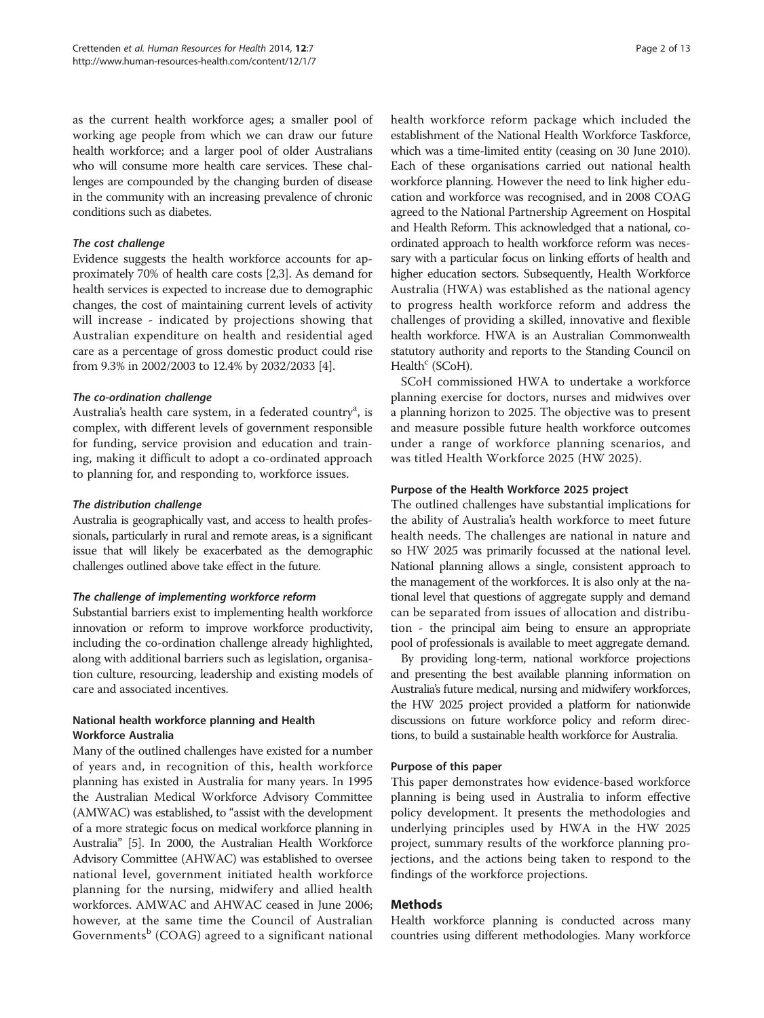as the current health workforce ages; a smaller pool of working age people from which we can draw our future health workforce; and a larger pool of older Australians who will consume more health care services. These challenges are compounded by the changing burden of disease in the community with an increasing prevalence of chronic conditions such as diabetes.

#### The cost challenge

Evidence suggests the health workforce accounts for approximately 70% of health care costs [\[2,3](#page-12-0)]. As demand for health services is expected to increase due to demographic changes, the cost of maintaining current levels of activity will increase - indicated by projections showing that Australian expenditure on health and residential aged care as a percentage of gross domestic product could rise from 9.3% in 2002/2003 to 12.4% by 2032/2033 [\[4](#page-12-0)].

## The co-ordination challenge

Australia's health care system, in a federated country<sup>a</sup>, is complex, with different levels of government responsible for funding, service provision and education and training, making it difficult to adopt a co-ordinated approach to planning for, and responding to, workforce issues.

# The distribution challenge

Australia is geographically vast, and access to health professionals, particularly in rural and remote areas, is a significant issue that will likely be exacerbated as the demographic challenges outlined above take effect in the future.

# The challenge of implementing workforce reform

Substantial barriers exist to implementing health workforce innovation or reform to improve workforce productivity, including the co-ordination challenge already highlighted, along with additional barriers such as legislation, organisation culture, resourcing, leadership and existing models of care and associated incentives.

# National health workforce planning and Health Workforce Australia

Many of the outlined challenges have existed for a number of years and, in recognition of this, health workforce planning has existed in Australia for many years. In 1995 the Australian Medical Workforce Advisory Committee (AMWAC) was established, to "assist with the development of a more strategic focus on medical workforce planning in Australia" [[5](#page-12-0)]. In 2000, the Australian Health Workforce Advisory Committee (AHWAC) was established to oversee national level, government initiated health workforce planning for the nursing, midwifery and allied health workforces. AMWAC and AHWAC ceased in June 2006; however, at the same time the Council of Australian Governments $\rm{^{b}}$  (COAG) agreed to a significant national health workforce reform package which included the establishment of the National Health Workforce Taskforce, which was a time-limited entity (ceasing on 30 June 2010). Each of these organisations carried out national health workforce planning. However the need to link higher education and workforce was recognised, and in 2008 COAG agreed to the National Partnership Agreement on Hospital and Health Reform. This acknowledged that a national, coordinated approach to health workforce reform was necessary with a particular focus on linking efforts of health and higher education sectors. Subsequently, Health Workforce Australia (HWA) was established as the national agency to progress health workforce reform and address the challenges of providing a skilled, innovative and flexible health workforce. HWA is an Australian Commonwealth statutory authority and reports to the Standing Council on Health $c$  (SCoH).

SCoH commissioned HWA to undertake a workforce planning exercise for doctors, nurses and midwives over a planning horizon to 2025. The objective was to present and measure possible future health workforce outcomes under a range of workforce planning scenarios, and was titled Health Workforce 2025 (HW 2025).

# Purpose of the Health Workforce 2025 project

The outlined challenges have substantial implications for the ability of Australia's health workforce to meet future health needs. The challenges are national in nature and so HW 2025 was primarily focussed at the national level. National planning allows a single, consistent approach to the management of the workforces. It is also only at the national level that questions of aggregate supply and demand can be separated from issues of allocation and distribution - the principal aim being to ensure an appropriate pool of professionals is available to meet aggregate demand.

By providing long-term, national workforce projections and presenting the best available planning information on Australia's future medical, nursing and midwifery workforces, the HW 2025 project provided a platform for nationwide discussions on future workforce policy and reform directions, to build a sustainable health workforce for Australia.

# Purpose of this paper

This paper demonstrates how evidence-based workforce planning is being used in Australia to inform effective policy development. It presents the methodologies and underlying principles used by HWA in the HW 2025 project, summary results of the workforce planning projections, and the actions being taken to respond to the findings of the workforce projections.

# Methods

Health workforce planning is conducted across many countries using different methodologies. Many workforce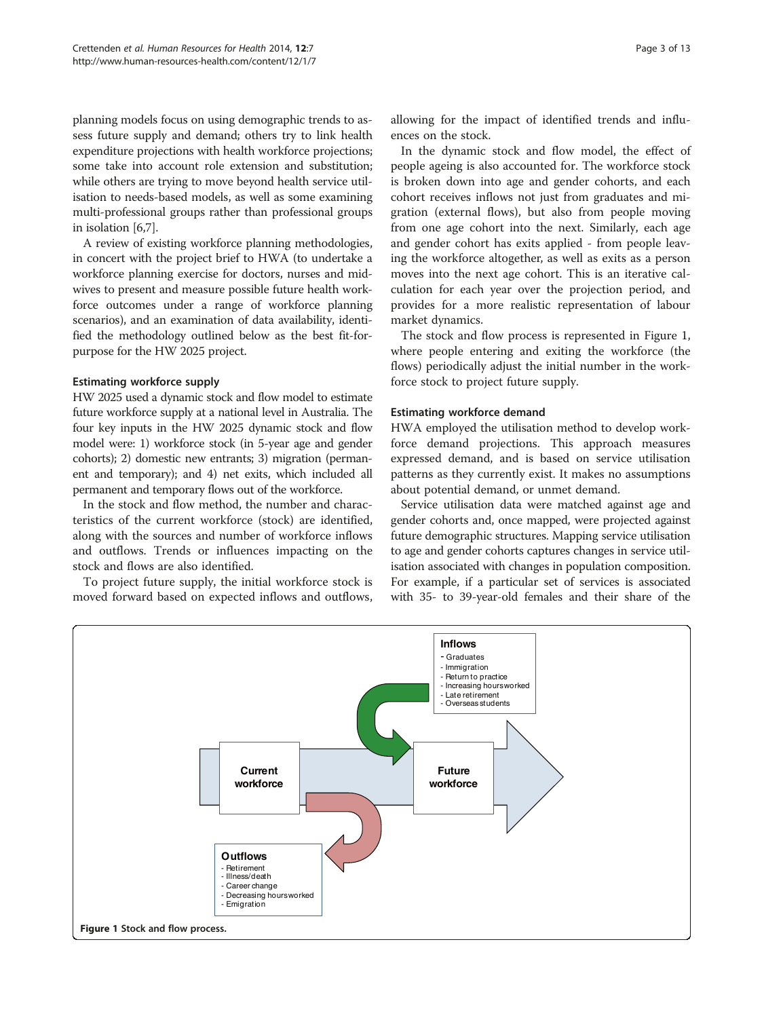planning models focus on using demographic trends to assess future supply and demand; others try to link health expenditure projections with health workforce projections; some take into account role extension and substitution; while others are trying to move beyond health service utilisation to needs-based models, as well as some examining multi-professional groups rather than professional groups in isolation [[6,7](#page-12-0)].

A review of existing workforce planning methodologies, in concert with the project brief to HWA (to undertake a workforce planning exercise for doctors, nurses and midwives to present and measure possible future health workforce outcomes under a range of workforce planning scenarios), and an examination of data availability, identified the methodology outlined below as the best fit-forpurpose for the HW 2025 project.

#### Estimating workforce supply

HW 2025 used a dynamic stock and flow model to estimate future workforce supply at a national level in Australia. The four key inputs in the HW 2025 dynamic stock and flow model were: 1) workforce stock (in 5-year age and gender cohorts); 2) domestic new entrants; 3) migration (permanent and temporary); and 4) net exits, which included all permanent and temporary flows out of the workforce.

In the stock and flow method, the number and characteristics of the current workforce (stock) are identified, along with the sources and number of workforce inflows and outflows. Trends or influences impacting on the stock and flows are also identified.

To project future supply, the initial workforce stock is moved forward based on expected inflows and outflows,

allowing for the impact of identified trends and influences on the stock.

In the dynamic stock and flow model, the effect of people ageing is also accounted for. The workforce stock is broken down into age and gender cohorts, and each cohort receives inflows not just from graduates and migration (external flows), but also from people moving from one age cohort into the next. Similarly, each age and gender cohort has exits applied - from people leaving the workforce altogether, as well as exits as a person moves into the next age cohort. This is an iterative calculation for each year over the projection period, and provides for a more realistic representation of labour market dynamics.

The stock and flow process is represented in Figure 1, where people entering and exiting the workforce (the flows) periodically adjust the initial number in the workforce stock to project future supply.

#### Estimating workforce demand

HWA employed the utilisation method to develop workforce demand projections. This approach measures expressed demand, and is based on service utilisation patterns as they currently exist. It makes no assumptions about potential demand, or unmet demand.

Service utilisation data were matched against age and gender cohorts and, once mapped, were projected against future demographic structures. Mapping service utilisation to age and gender cohorts captures changes in service utilisation associated with changes in population composition. For example, if a particular set of services is associated with 35- to 39-year-old females and their share of the

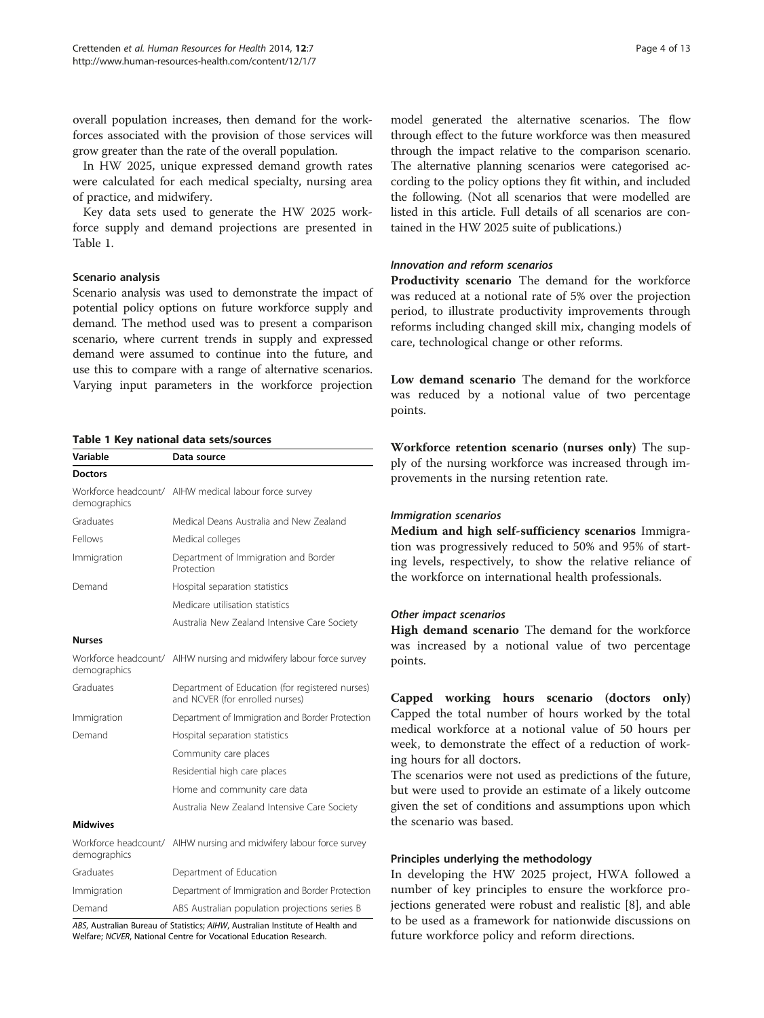<span id="page-3-0"></span>overall population increases, then demand for the workforces associated with the provision of those services will grow greater than the rate of the overall population.

In HW 2025, unique expressed demand growth rates were calculated for each medical specialty, nursing area of practice, and midwifery.

Key data sets used to generate the HW 2025 workforce supply and demand projections are presented in Table 1.

#### Scenario analysis

Scenario analysis was used to demonstrate the impact of potential policy options on future workforce supply and demand. The method used was to present a comparison scenario, where current trends in supply and expressed demand were assumed to continue into the future, and use this to compare with a range of alternative scenarios. Varying input parameters in the workforce projection

#### Table 1 Key national data sets/sources

| Variable                             | Data source                                                                        |  |  |  |
|--------------------------------------|------------------------------------------------------------------------------------|--|--|--|
| <b>Doctors</b>                       |                                                                                    |  |  |  |
| demographics                         | Workforce headcount/ AIHW medical labour force survey                              |  |  |  |
| Graduates                            | Medical Deans Australia and New Zealand                                            |  |  |  |
| Fellows                              | Medical colleges                                                                   |  |  |  |
| Immigration                          | Department of Immigration and Border<br>Protection                                 |  |  |  |
| Demand                               | Hospital separation statistics                                                     |  |  |  |
|                                      | Medicare utilisation statistics                                                    |  |  |  |
|                                      | Australia New Zealand Intensive Care Society                                       |  |  |  |
| <b>Nurses</b>                        |                                                                                    |  |  |  |
| Workforce headcount/<br>demographics | AIHW nursing and midwifery labour force survey                                     |  |  |  |
| Graduates                            | Department of Education (for registered nurses)<br>and NCVER (for enrolled nurses) |  |  |  |
| Immigration                          | Department of Immigration and Border Protection                                    |  |  |  |
| Demand                               | Hospital separation statistics                                                     |  |  |  |
|                                      | Community care places                                                              |  |  |  |
|                                      | Residential high care places                                                       |  |  |  |
|                                      | Home and community care data                                                       |  |  |  |
|                                      | Australia New Zealand Intensive Care Society                                       |  |  |  |
| <b>Midwives</b>                      |                                                                                    |  |  |  |
| demographics                         | Workforce headcount/ AIHW nursing and midwifery labour force survey                |  |  |  |
| Graduates                            | Department of Education                                                            |  |  |  |
| Immigration                          | Department of Immigration and Border Protection                                    |  |  |  |
| Demand                               | ABS Australian population projections series B                                     |  |  |  |

ABS, Australian Bureau of Statistics; AIHW, Australian Institute of Health and Welfare; NCVER, National Centre for Vocational Education Research.

model generated the alternative scenarios. The flow through effect to the future workforce was then measured through the impact relative to the comparison scenario. The alternative planning scenarios were categorised according to the policy options they fit within, and included the following. (Not all scenarios that were modelled are listed in this article. Full details of all scenarios are contained in the HW 2025 suite of publications.)

#### Innovation and reform scenarios

Productivity scenario The demand for the workforce was reduced at a notional rate of 5% over the projection period, to illustrate productivity improvements through reforms including changed skill mix, changing models of care, technological change or other reforms.

Low demand scenario The demand for the workforce was reduced by a notional value of two percentage points.

Workforce retention scenario (nurses only) The supply of the nursing workforce was increased through improvements in the nursing retention rate.

#### Immigration scenarios

Medium and high self-sufficiency scenarios Immigration was progressively reduced to 50% and 95% of starting levels, respectively, to show the relative reliance of the workforce on international health professionals.

## Other impact scenarios

High demand scenario The demand for the workforce was increased by a notional value of two percentage points.

Capped working hours scenario (doctors only) Capped the total number of hours worked by the total medical workforce at a notional value of 50 hours per week, to demonstrate the effect of a reduction of working hours for all doctors.

The scenarios were not used as predictions of the future, but were used to provide an estimate of a likely outcome given the set of conditions and assumptions upon which the scenario was based.

# Principles underlying the methodology

In developing the HW 2025 project, HWA followed a number of key principles to ensure the workforce projections generated were robust and realistic [\[8](#page-12-0)], and able to be used as a framework for nationwide discussions on future workforce policy and reform directions.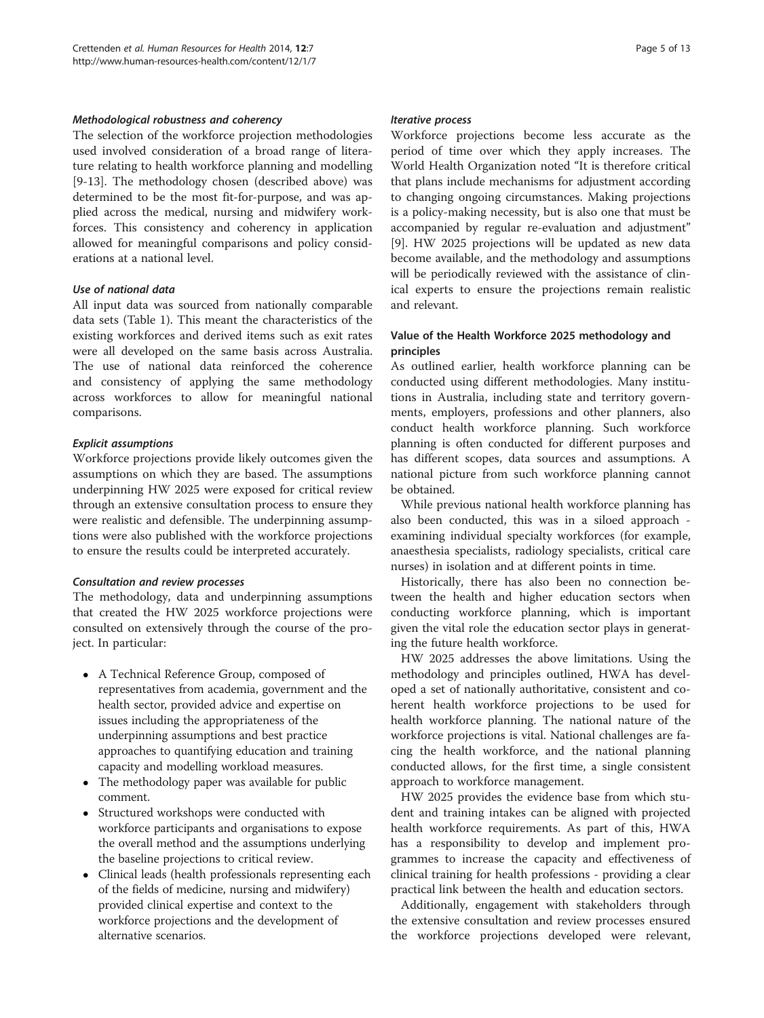#### Methodological robustness and coherency

The selection of the workforce projection methodologies used involved consideration of a broad range of literature relating to health workforce planning and modelling [[9-13](#page-12-0)]. The methodology chosen (described above) was determined to be the most fit-for-purpose, and was applied across the medical, nursing and midwifery workforces. This consistency and coherency in application allowed for meaningful comparisons and policy considerations at a national level.

## Use of national data

All input data was sourced from nationally comparable data sets (Table [1\)](#page-3-0). This meant the characteristics of the existing workforces and derived items such as exit rates were all developed on the same basis across Australia. The use of national data reinforced the coherence and consistency of applying the same methodology across workforces to allow for meaningful national comparisons.

## Explicit assumptions

Workforce projections provide likely outcomes given the assumptions on which they are based. The assumptions underpinning HW 2025 were exposed for critical review through an extensive consultation process to ensure they were realistic and defensible. The underpinning assumptions were also published with the workforce projections to ensure the results could be interpreted accurately.

#### Consultation and review processes

The methodology, data and underpinning assumptions that created the HW 2025 workforce projections were consulted on extensively through the course of the project. In particular:

- A Technical Reference Group, composed of representatives from academia, government and the health sector, provided advice and expertise on issues including the appropriateness of the underpinning assumptions and best practice approaches to quantifying education and training capacity and modelling workload measures.
- The methodology paper was available for public comment.
- Structured workshops were conducted with workforce participants and organisations to expose the overall method and the assumptions underlying the baseline projections to critical review.
- Clinical leads (health professionals representing each of the fields of medicine, nursing and midwifery) provided clinical expertise and context to the workforce projections and the development of alternative scenarios.

#### Iterative process

Workforce projections become less accurate as the period of time over which they apply increases. The World Health Organization noted "It is therefore critical that plans include mechanisms for adjustment according to changing ongoing circumstances. Making projections is a policy-making necessity, but is also one that must be accompanied by regular re-evaluation and adjustment" [[9\]](#page-12-0). HW 2025 projections will be updated as new data become available, and the methodology and assumptions will be periodically reviewed with the assistance of clinical experts to ensure the projections remain realistic and relevant.

# Value of the Health Workforce 2025 methodology and principles

As outlined earlier, health workforce planning can be conducted using different methodologies. Many institutions in Australia, including state and territory governments, employers, professions and other planners, also conduct health workforce planning. Such workforce planning is often conducted for different purposes and has different scopes, data sources and assumptions. A national picture from such workforce planning cannot be obtained.

While previous national health workforce planning has also been conducted, this was in a siloed approach examining individual specialty workforces (for example, anaesthesia specialists, radiology specialists, critical care nurses) in isolation and at different points in time.

Historically, there has also been no connection between the health and higher education sectors when conducting workforce planning, which is important given the vital role the education sector plays in generating the future health workforce.

HW 2025 addresses the above limitations. Using the methodology and principles outlined, HWA has developed a set of nationally authoritative, consistent and coherent health workforce projections to be used for health workforce planning. The national nature of the workforce projections is vital. National challenges are facing the health workforce, and the national planning conducted allows, for the first time, a single consistent approach to workforce management.

HW 2025 provides the evidence base from which student and training intakes can be aligned with projected health workforce requirements. As part of this, HWA has a responsibility to develop and implement programmes to increase the capacity and effectiveness of clinical training for health professions - providing a clear practical link between the health and education sectors.

Additionally, engagement with stakeholders through the extensive consultation and review processes ensured the workforce projections developed were relevant,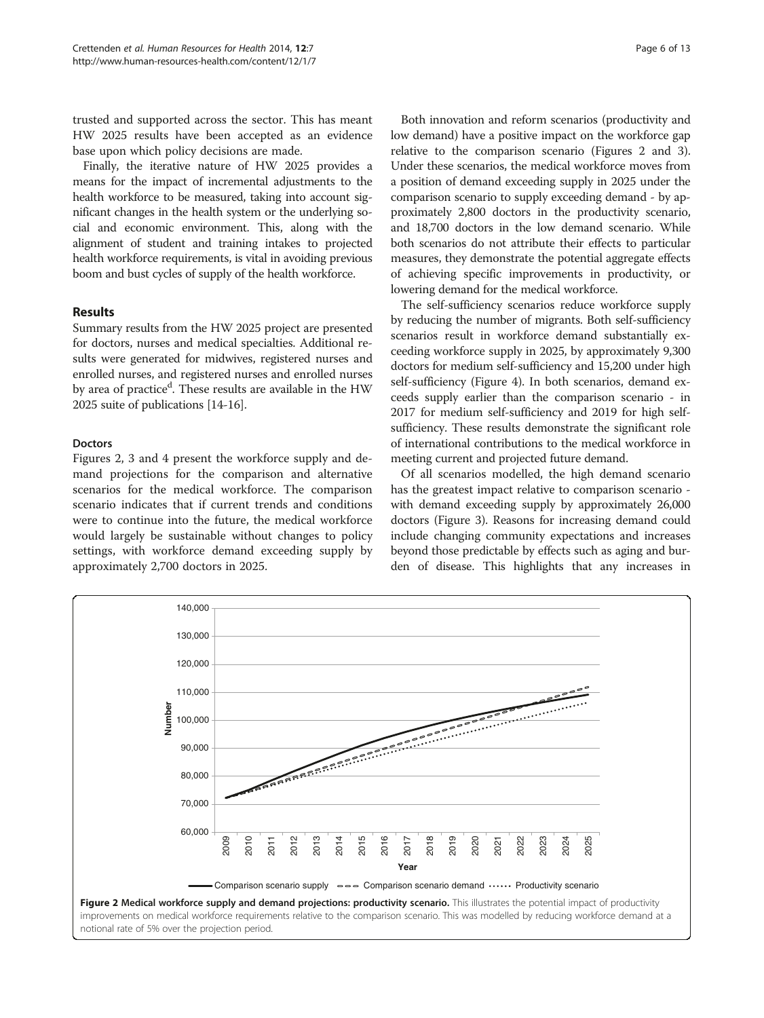trusted and supported across the sector. This has meant HW 2025 results have been accepted as an evidence base upon which policy decisions are made.

Finally, the iterative nature of HW 2025 provides a means for the impact of incremental adjustments to the health workforce to be measured, taking into account significant changes in the health system or the underlying social and economic environment. This, along with the alignment of student and training intakes to projected health workforce requirements, is vital in avoiding previous boom and bust cycles of supply of the health workforce.

## Results

Summary results from the HW 2025 project are presented for doctors, nurses and medical specialties. Additional results were generated for midwives, registered nurses and enrolled nurses, and registered nurses and enrolled nurses by area of practice<sup>d</sup>. These results are available in the HW 2025 suite of publications [\[14](#page-12-0)-[16](#page-12-0)].

#### Doctors

Figures 2, [3](#page-6-0) and [4](#page-6-0) present the workforce supply and demand projections for the comparison and alternative scenarios for the medical workforce. The comparison scenario indicates that if current trends and conditions were to continue into the future, the medical workforce would largely be sustainable without changes to policy settings, with workforce demand exceeding supply by approximately 2,700 doctors in 2025.

Both innovation and reform scenarios (productivity and low demand) have a positive impact on the workforce gap relative to the comparison scenario (Figures 2 and [3](#page-6-0)). Under these scenarios, the medical workforce moves from a position of demand exceeding supply in 2025 under the comparison scenario to supply exceeding demand - by approximately 2,800 doctors in the productivity scenario, and 18,700 doctors in the low demand scenario. While both scenarios do not attribute their effects to particular measures, they demonstrate the potential aggregate effects of achieving specific improvements in productivity, or lowering demand for the medical workforce.

The self-sufficiency scenarios reduce workforce supply by reducing the number of migrants. Both self-sufficiency scenarios result in workforce demand substantially exceeding workforce supply in 2025, by approximately 9,300 doctors for medium self-sufficiency and 15,200 under high self-sufficiency (Figure [4](#page-6-0)). In both scenarios, demand exceeds supply earlier than the comparison scenario - in 2017 for medium self-sufficiency and 2019 for high selfsufficiency. These results demonstrate the significant role of international contributions to the medical workforce in meeting current and projected future demand.

Of all scenarios modelled, the high demand scenario has the greatest impact relative to comparison scenario with demand exceeding supply by approximately 26,000 doctors (Figure [3](#page-6-0)). Reasons for increasing demand could include changing community expectations and increases beyond those predictable by effects such as aging and burden of disease. This highlights that any increases in

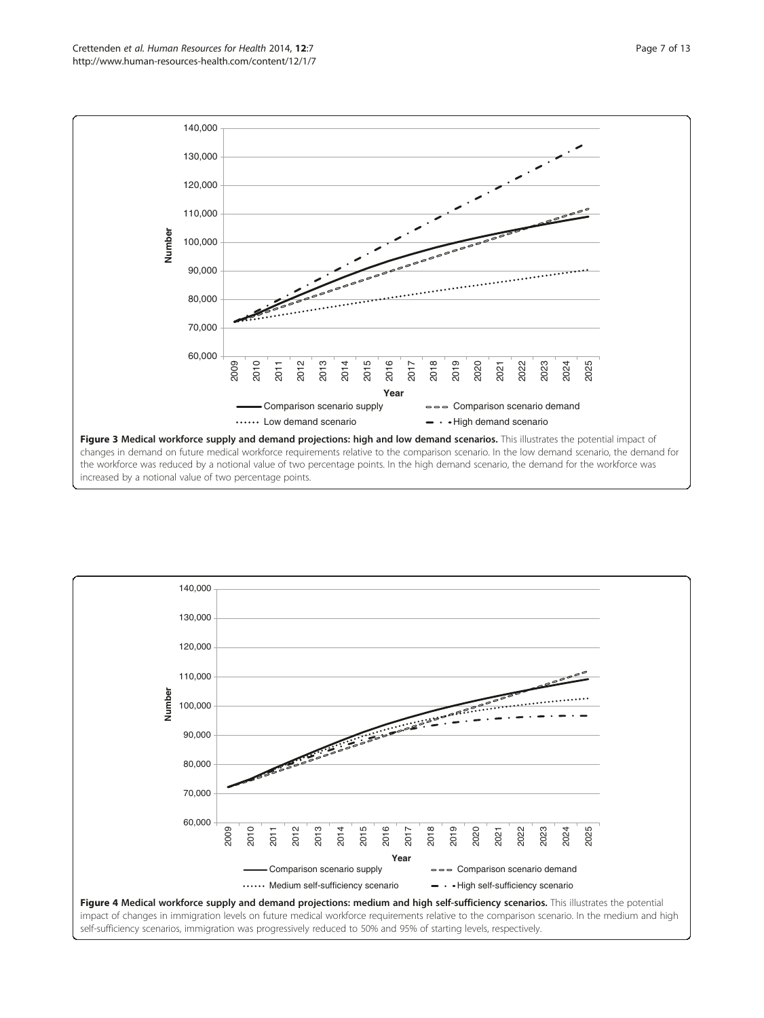<span id="page-6-0"></span>

140,000 130,000 120,000 110,000 **Number** 100,000 **CONSTRUCTION OF PROPERTY** 90,000 80,000 70,000 60,000 2009 2013 2016 2010 2012 2015 2018 2023 2020 2022 2024  $201$ 2021 **2025** 2017 201  $\rm \dot{\rm g}$ **Year** Comparison scenario supply e e e Comparison scenario demand ...... Medium self-sufficiency scenario  $-$  - High self-sufficiency scenario Figure 4 Medical workforce supply and demand projections: medium and high self-sufficiency scenarios. This illustrates the potential impact of changes in immigration levels on future medical workforce requirements relative to the comparison scenario. In the medium and high self-sufficiency scenarios, immigration was progressively reduced to 50% and 95% of starting levels, respectively.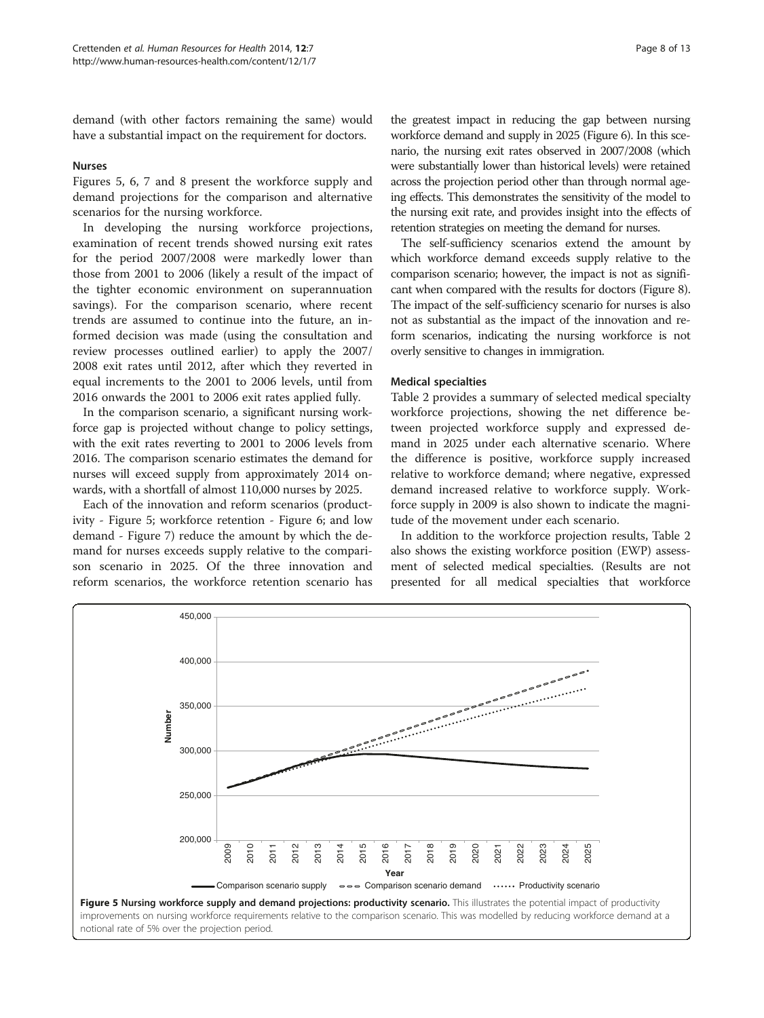demand (with other factors remaining the same) would have a substantial impact on the requirement for doctors.

#### Nurses

Figures 5, [6](#page-8-0), [7](#page-8-0) and [8](#page-9-0) present the workforce supply and demand projections for the comparison and alternative scenarios for the nursing workforce.

In developing the nursing workforce projections, examination of recent trends showed nursing exit rates for the period 2007/2008 were markedly lower than those from 2001 to 2006 (likely a result of the impact of the tighter economic environment on superannuation savings). For the comparison scenario, where recent trends are assumed to continue into the future, an informed decision was made (using the consultation and review processes outlined earlier) to apply the 2007/ 2008 exit rates until 2012, after which they reverted in equal increments to the 2001 to 2006 levels, until from 2016 onwards the 2001 to 2006 exit rates applied fully.

In the comparison scenario, a significant nursing workforce gap is projected without change to policy settings, with the exit rates reverting to 2001 to 2006 levels from 2016. The comparison scenario estimates the demand for nurses will exceed supply from approximately 2014 onwards, with a shortfall of almost 110,000 nurses by 2025.

Each of the innovation and reform scenarios (productivity - Figure 5; workforce retention - Figure [6;](#page-8-0) and low demand - Figure [7](#page-8-0)) reduce the amount by which the demand for nurses exceeds supply relative to the comparison scenario in 2025. Of the three innovation and reform scenarios, the workforce retention scenario has

the greatest impact in reducing the gap between nursing workforce demand and supply in 2025 (Figure [6\)](#page-8-0). In this scenario, the nursing exit rates observed in 2007/2008 (which were substantially lower than historical levels) were retained across the projection period other than through normal ageing effects. This demonstrates the sensitivity of the model to the nursing exit rate, and provides insight into the effects of

retention strategies on meeting the demand for nurses. The self-sufficiency scenarios extend the amount by which workforce demand exceeds supply relative to the comparison scenario; however, the impact is not as significant when compared with the results for doctors (Figure [8](#page-9-0)). The impact of the self-sufficiency scenario for nurses is also not as substantial as the impact of the innovation and reform scenarios, indicating the nursing workforce is not overly sensitive to changes in immigration.

#### Medical specialties

Table [2](#page-9-0) provides a summary of selected medical specialty workforce projections, showing the net difference between projected workforce supply and expressed demand in 2025 under each alternative scenario. Where the difference is positive, workforce supply increased relative to workforce demand; where negative, expressed demand increased relative to workforce supply. Workforce supply in 2009 is also shown to indicate the magnitude of the movement under each scenario.

In addition to the workforce projection results, Table [2](#page-9-0) also shows the existing workforce position (EWP) assessment of selected medical specialties. (Results are not presented for all medical specialties that workforce

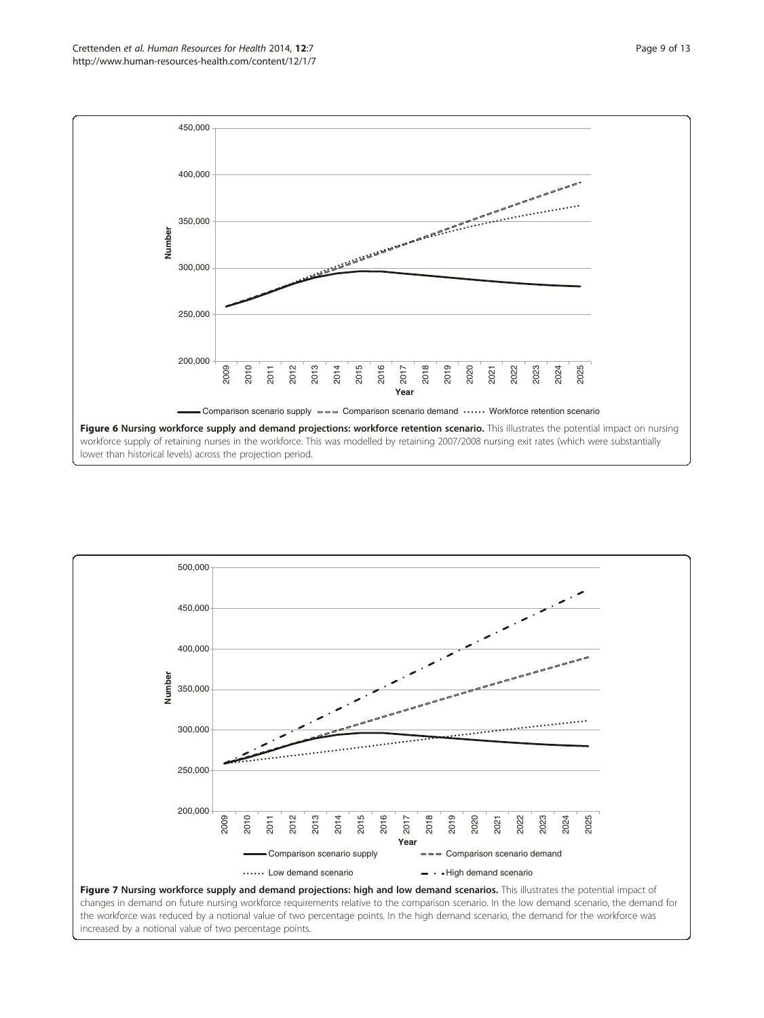<span id="page-8-0"></span>



changes in demand on future nursing workforce requirements relative to the comparison scenario. In the low demand scenario, the demand for the workforce was reduced by a notional value of two percentage points. In the high demand scenario, the demand for the workforce was increased by a notional value of two percentage points.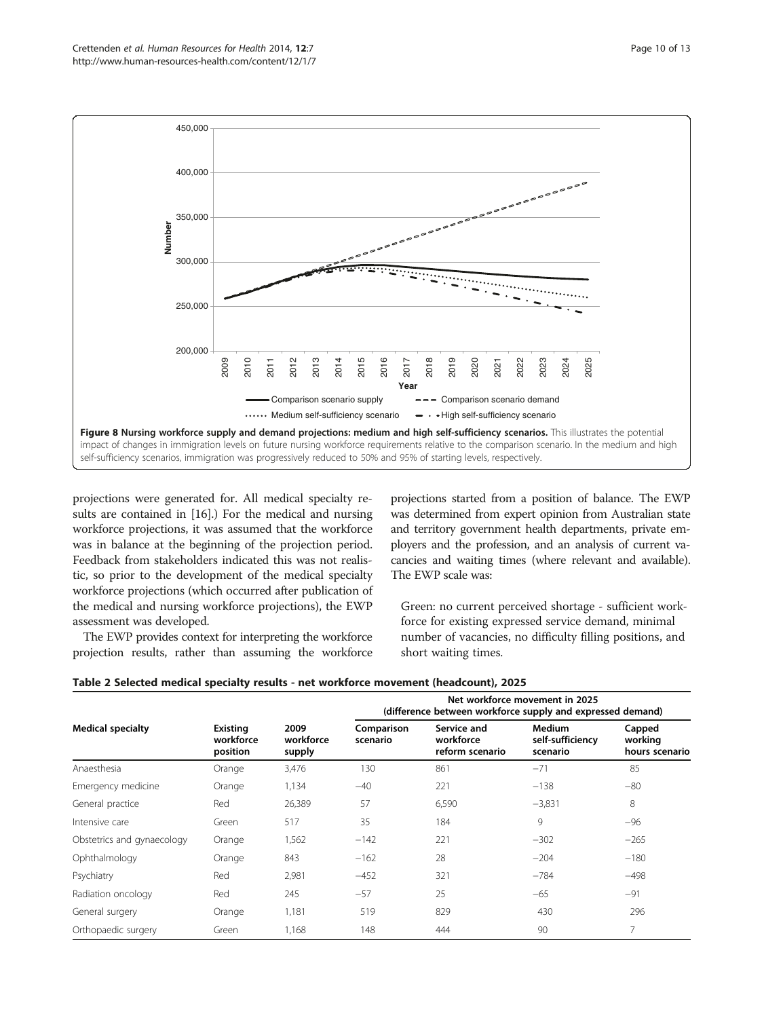<span id="page-9-0"></span>

projections were generated for. All medical specialty results are contained in [\[16\]](#page-12-0).) For the medical and nursing workforce projections, it was assumed that the workforce was in balance at the beginning of the projection period. Feedback from stakeholders indicated this was not realistic, so prior to the development of the medical specialty workforce projections (which occurred after publication of the medical and nursing workforce projections), the EWP assessment was developed.

The EWP provides context for interpreting the workforce projection results, rather than assuming the workforce projections started from a position of balance. The EWP was determined from expert opinion from Australian state and territory government health departments, private employers and the profession, and an analysis of current vacancies and waiting times (where relevant and available). The EWP scale was:

Green: no current perceived shortage - sufficient workforce for existing expressed service demand, minimal number of vacancies, no difficulty filling positions, and short waiting times.

| <b>Medical specialty</b>   | Existing<br>workforce<br>position | 2009<br>workforce<br>supply | Net workforce movement in 2025<br>(difference between workforce supply and expressed demand) |                                             |                                               |                                     |
|----------------------------|-----------------------------------|-----------------------------|----------------------------------------------------------------------------------------------|---------------------------------------------|-----------------------------------------------|-------------------------------------|
|                            |                                   |                             | Comparison<br>scenario                                                                       | Service and<br>workforce<br>reform scenario | <b>Medium</b><br>self-sufficiency<br>scenario | Capped<br>working<br>hours scenario |
| Anaesthesia                | Orange                            | 3,476                       | 130                                                                                          | 861                                         | $-71$                                         | 85                                  |
| Emergency medicine         | Orange                            | 1,134                       | $-40$                                                                                        | 221                                         | $-138$                                        | $-80$                               |
| General practice           | Red                               | 26,389                      | 57                                                                                           | 6,590                                       | $-3,831$                                      | 8                                   |
| Intensive care             | Green                             | 517                         | 35                                                                                           | 184                                         | 9                                             | $-96$                               |
| Obstetrics and gynaecology | Orange                            | 1,562                       | $-142$                                                                                       | 221                                         | $-302$                                        | $-265$                              |
| Ophthalmology              | Orange                            | 843                         | $-162$                                                                                       | 28                                          | $-204$                                        | $-180$                              |
| Psychiatry                 | Red                               | 2,981                       | $-452$                                                                                       | 321                                         | $-784$                                        | $-498$                              |
| Radiation oncology         | Red                               | 245                         | $-57$                                                                                        | 25                                          | $-65$                                         | $-91$                               |
| General surgery            | Orange                            | 1,181                       | 519                                                                                          | 829                                         | 430                                           | 296                                 |
| Orthopaedic surgery        | Green                             | 1,168                       | 148                                                                                          | 444                                         | 90                                            | 7                                   |

Table 2 Selected medical specialty results - net workforce movement (headcount), 2025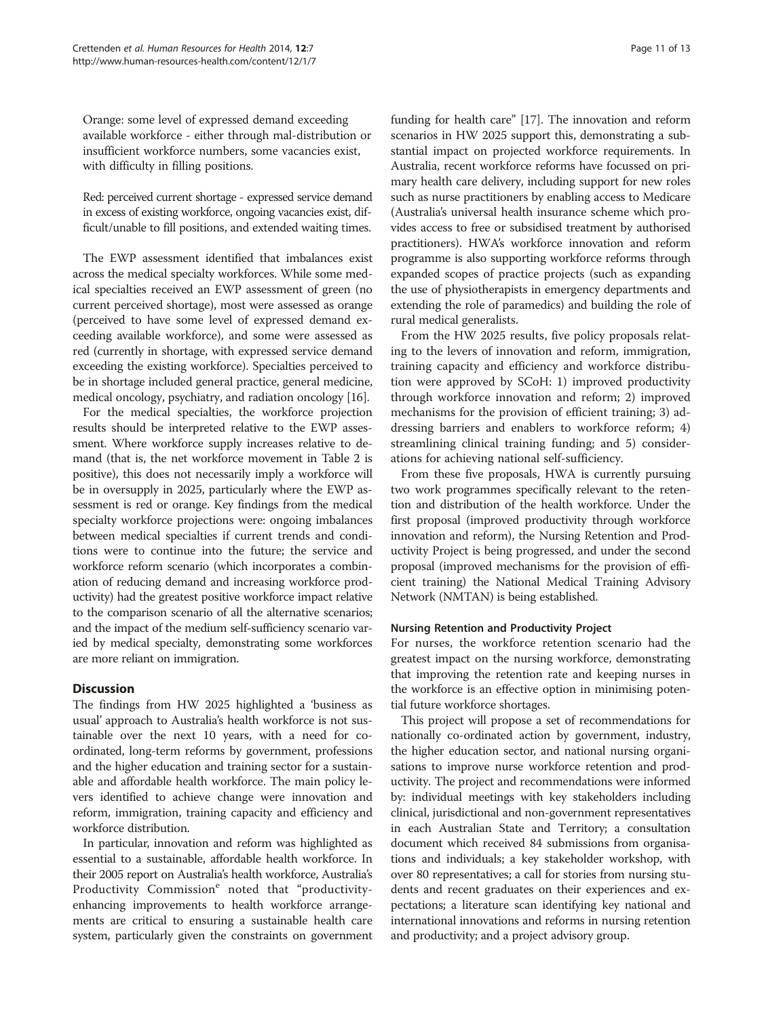Orange: some level of expressed demand exceeding available workforce - either through mal-distribution or insufficient workforce numbers, some vacancies exist, with difficulty in filling positions.

Red: perceived current shortage - expressed service demand in excess of existing workforce, ongoing vacancies exist, difficult/unable to fill positions, and extended waiting times.

The EWP assessment identified that imbalances exist across the medical specialty workforces. While some medical specialties received an EWP assessment of green (no current perceived shortage), most were assessed as orange (perceived to have some level of expressed demand exceeding available workforce), and some were assessed as red (currently in shortage, with expressed service demand exceeding the existing workforce). Specialties perceived to be in shortage included general practice, general medicine, medical oncology, psychiatry, and radiation oncology [\[16](#page-12-0)].

For the medical specialties, the workforce projection results should be interpreted relative to the EWP assessment. Where workforce supply increases relative to demand (that is, the net workforce movement in Table [2](#page-9-0) is positive), this does not necessarily imply a workforce will be in oversupply in 2025, particularly where the EWP assessment is red or orange. Key findings from the medical specialty workforce projections were: ongoing imbalances between medical specialties if current trends and conditions were to continue into the future; the service and workforce reform scenario (which incorporates a combination of reducing demand and increasing workforce productivity) had the greatest positive workforce impact relative to the comparison scenario of all the alternative scenarios; and the impact of the medium self-sufficiency scenario varied by medical specialty, demonstrating some workforces are more reliant on immigration.

# **Discussion**

The findings from HW 2025 highlighted a 'business as usual' approach to Australia's health workforce is not sustainable over the next 10 years, with a need for coordinated, long-term reforms by government, professions and the higher education and training sector for a sustainable and affordable health workforce. The main policy levers identified to achieve change were innovation and reform, immigration, training capacity and efficiency and workforce distribution.

In particular, innovation and reform was highlighted as essential to a sustainable, affordable health workforce. In their 2005 report on Australia's health workforce, Australia's Productivity Commission<sup>e</sup> noted that "productivityenhancing improvements to health workforce arrangements are critical to ensuring a sustainable health care system, particularly given the constraints on government funding for health care" [[17\]](#page-12-0). The innovation and reform scenarios in HW 2025 support this, demonstrating a substantial impact on projected workforce requirements. In Australia, recent workforce reforms have focussed on primary health care delivery, including support for new roles such as nurse practitioners by enabling access to Medicare (Australia's universal health insurance scheme which provides access to free or subsidised treatment by authorised practitioners). HWA's workforce innovation and reform programme is also supporting workforce reforms through expanded scopes of practice projects (such as expanding the use of physiotherapists in emergency departments and extending the role of paramedics) and building the role of rural medical generalists.

From the HW 2025 results, five policy proposals relating to the levers of innovation and reform, immigration, training capacity and efficiency and workforce distribution were approved by SCoH: 1) improved productivity through workforce innovation and reform; 2) improved mechanisms for the provision of efficient training; 3) addressing barriers and enablers to workforce reform; 4) streamlining clinical training funding; and 5) considerations for achieving national self-sufficiency.

From these five proposals, HWA is currently pursuing two work programmes specifically relevant to the retention and distribution of the health workforce. Under the first proposal (improved productivity through workforce innovation and reform), the Nursing Retention and Productivity Project is being progressed, and under the second proposal (improved mechanisms for the provision of efficient training) the National Medical Training Advisory Network (NMTAN) is being established.

#### Nursing Retention and Productivity Project

For nurses, the workforce retention scenario had the greatest impact on the nursing workforce, demonstrating that improving the retention rate and keeping nurses in the workforce is an effective option in minimising potential future workforce shortages.

This project will propose a set of recommendations for nationally co-ordinated action by government, industry, the higher education sector, and national nursing organisations to improve nurse workforce retention and productivity. The project and recommendations were informed by: individual meetings with key stakeholders including clinical, jurisdictional and non-government representatives in each Australian State and Territory; a consultation document which received 84 submissions from organisations and individuals; a key stakeholder workshop, with over 80 representatives; a call for stories from nursing students and recent graduates on their experiences and expectations; a literature scan identifying key national and international innovations and reforms in nursing retention and productivity; and a project advisory group.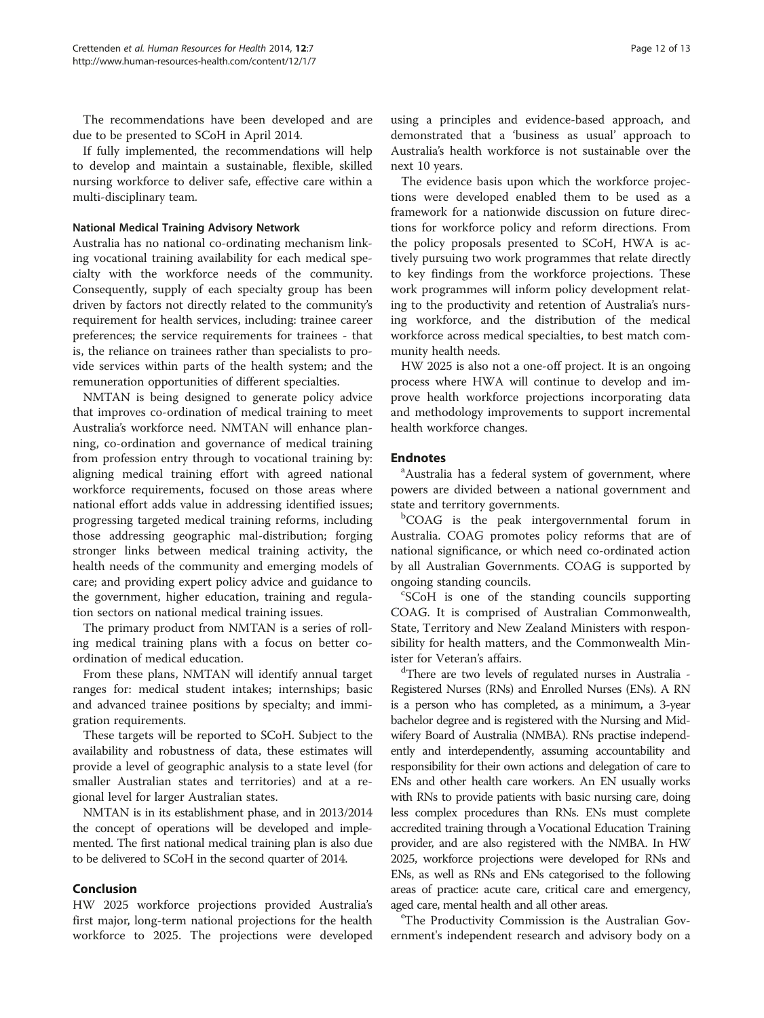The recommendations have been developed and are due to be presented to SCoH in April 2014.

If fully implemented, the recommendations will help to develop and maintain a sustainable, flexible, skilled nursing workforce to deliver safe, effective care within a multi-disciplinary team.

#### National Medical Training Advisory Network

Australia has no national co-ordinating mechanism linking vocational training availability for each medical specialty with the workforce needs of the community. Consequently, supply of each specialty group has been driven by factors not directly related to the community's requirement for health services, including: trainee career preferences; the service requirements for trainees - that is, the reliance on trainees rather than specialists to provide services within parts of the health system; and the remuneration opportunities of different specialties.

NMTAN is being designed to generate policy advice that improves co-ordination of medical training to meet Australia's workforce need. NMTAN will enhance planning, co-ordination and governance of medical training from profession entry through to vocational training by: aligning medical training effort with agreed national workforce requirements, focused on those areas where national effort adds value in addressing identified issues; progressing targeted medical training reforms, including those addressing geographic mal-distribution; forging stronger links between medical training activity, the health needs of the community and emerging models of care; and providing expert policy advice and guidance to the government, higher education, training and regulation sectors on national medical training issues.

The primary product from NMTAN is a series of rolling medical training plans with a focus on better coordination of medical education.

From these plans, NMTAN will identify annual target ranges for: medical student intakes; internships; basic and advanced trainee positions by specialty; and immigration requirements.

These targets will be reported to SCoH. Subject to the availability and robustness of data, these estimates will provide a level of geographic analysis to a state level (for smaller Australian states and territories) and at a regional level for larger Australian states.

NMTAN is in its establishment phase, and in 2013/2014 the concept of operations will be developed and implemented. The first national medical training plan is also due to be delivered to SCoH in the second quarter of 2014.

## Conclusion

HW 2025 workforce projections provided Australia's first major, long-term national projections for the health workforce to 2025. The projections were developed

using a principles and evidence-based approach, and demonstrated that a 'business as usual' approach to Australia's health workforce is not sustainable over the next 10 years.

The evidence basis upon which the workforce projections were developed enabled them to be used as a framework for a nationwide discussion on future directions for workforce policy and reform directions. From the policy proposals presented to SCoH, HWA is actively pursuing two work programmes that relate directly to key findings from the workforce projections. These work programmes will inform policy development relating to the productivity and retention of Australia's nursing workforce, and the distribution of the medical workforce across medical specialties, to best match community health needs.

HW 2025 is also not a one-off project. It is an ongoing process where HWA will continue to develop and improve health workforce projections incorporating data and methodology improvements to support incremental health workforce changes.

#### **Endnotes**

<sup>a</sup>Australia has a federal system of government, where powers are divided between a national government and state and territory governments.

b COAG is the peak intergovernmental forum in Australia. COAG promotes policy reforms that are of national significance, or which need co-ordinated action by all Australian Governments. COAG is supported by ongoing standing councils.

SCoH is one of the standing councils supporting COAG. It is comprised of Australian Commonwealth, State, Territory and New Zealand Ministers with responsibility for health matters, and the Commonwealth Minister for Veteran's affairs.

d There are two levels of regulated nurses in Australia - Registered Nurses (RNs) and Enrolled Nurses (ENs). A RN is a person who has completed, as a minimum, a 3-year bachelor degree and is registered with the Nursing and Midwifery Board of Australia (NMBA). RNs practise independently and interdependently, assuming accountability and responsibility for their own actions and delegation of care to ENs and other health care workers. An EN usually works with RNs to provide patients with basic nursing care, doing less complex procedures than RNs. ENs must complete accredited training through a Vocational Education Training provider, and are also registered with the NMBA. In HW 2025, workforce projections were developed for RNs and ENs, as well as RNs and ENs categorised to the following areas of practice: acute care, critical care and emergency, aged care, mental health and all other areas.

The Productivity Commission is the Australian Government's independent research and advisory body on a